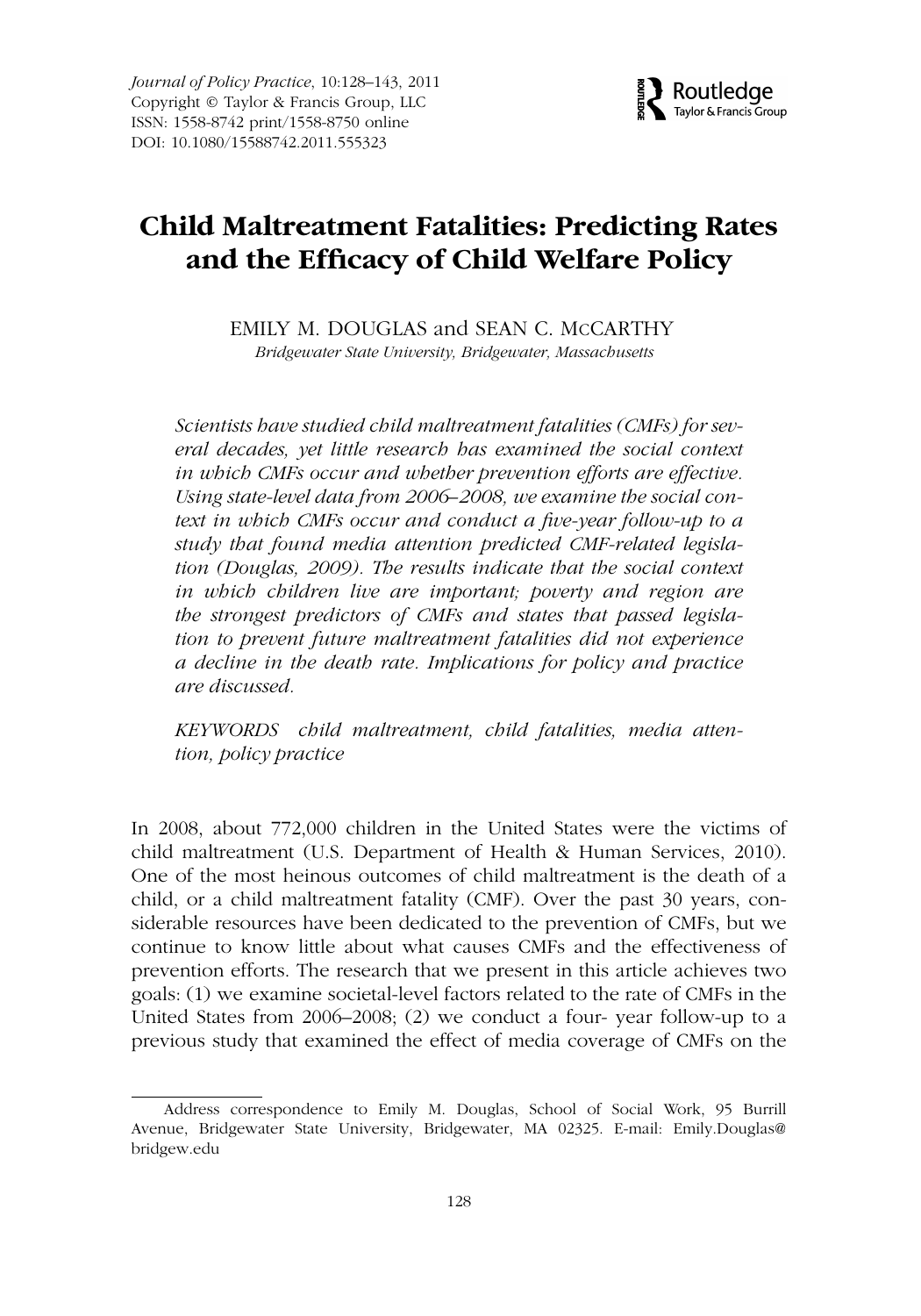

# **Child Maltreatment Fatalities: Predicting Rates and the Efficacy of Child Welfare Policy**

EMILY M. DOUGLAS and SEAN C. MCCARTHY *Bridgewater State University, Bridgewater, Massachusetts*

*Scientists have studied child maltreatment fatalities (CMFs) for several decades, yet little research has examined the social context in which CMFs occur and whether prevention efforts are effective. Using state-level data from 2006–2008, we examine the social context in which CMFs occur and conduct a five-year follow-up to a study that found media attention predicted CMF-related legislation (Douglas, 2009). The results indicate that the social context in which children live are important; poverty and region are the strongest predictors of CMFs and states that passed legislation to prevent future maltreatment fatalities did not experience a decline in the death rate. Implications for policy and practice are discussed.*

*KEYWORDS child maltreatment, child fatalities, media attention, policy practice*

In 2008, about 772,000 children in the United States were the victims of child maltreatment (U.S. Department of Health & Human Services, 2010). One of the most heinous outcomes of child maltreatment is the death of a child, or a child maltreatment fatality (CMF). Over the past 30 years, considerable resources have been dedicated to the prevention of CMFs, but we continue to know little about what causes CMFs and the effectiveness of prevention efforts. The research that we present in this article achieves two goals: (1) we examine societal-level factors related to the rate of CMFs in the United States from 2006–2008; (2) we conduct a four- year follow-up to a previous study that examined the effect of media coverage of CMFs on the

Address correspondence to Emily M. Douglas, School of Social Work, 95 Burrill Avenue, Bridgewater State University, Bridgewater, MA 02325. E-mail: Emily.Douglas@ bridgew.edu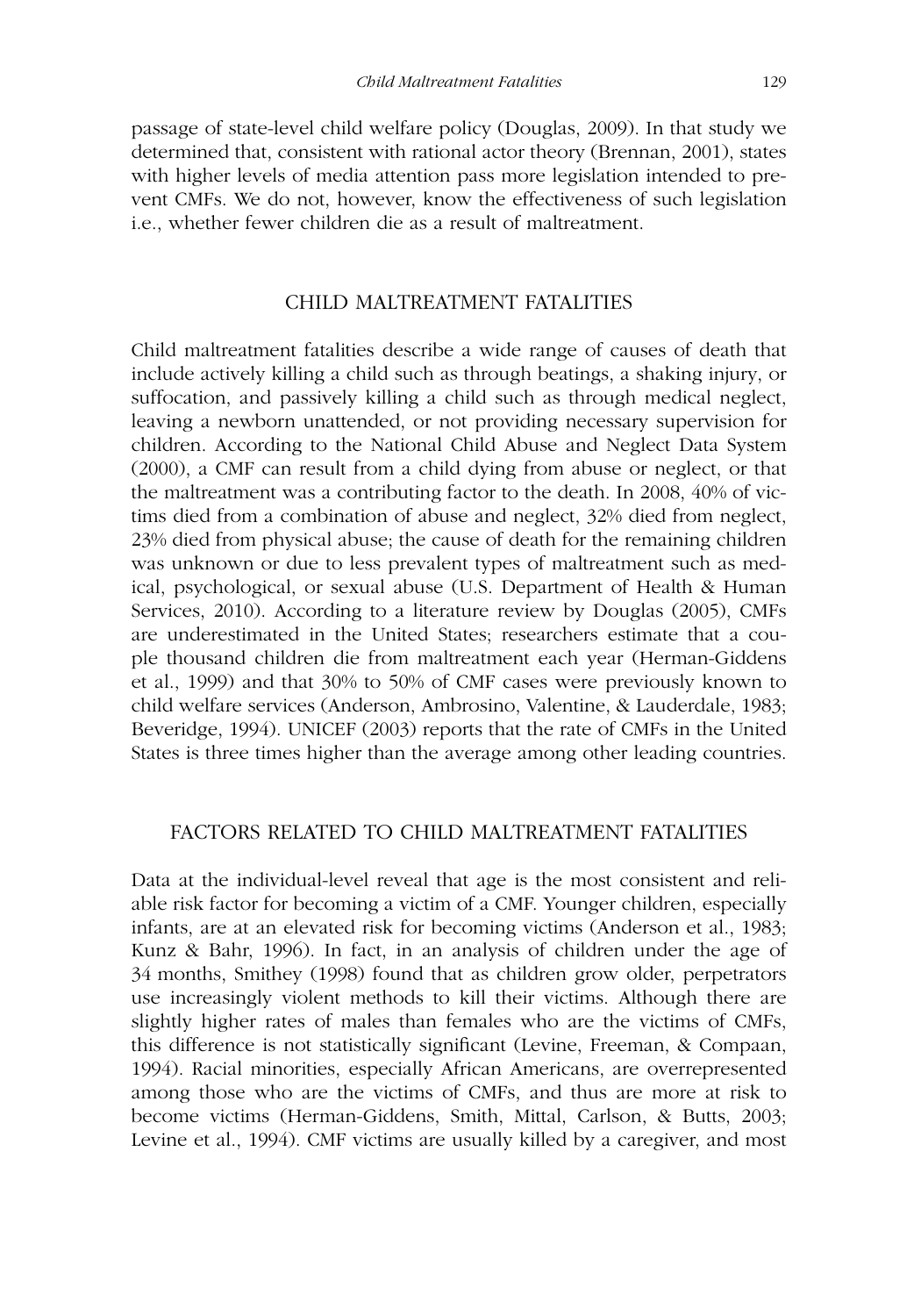passage of state-level child welfare policy (Douglas, 2009). In that study we determined that, consistent with rational actor theory (Brennan, 2001), states with higher levels of media attention pass more legislation intended to prevent CMFs. We do not, however, know the effectiveness of such legislation i.e., whether fewer children die as a result of maltreatment.

#### CHILD MALTREATMENT FATALITIES

Child maltreatment fatalities describe a wide range of causes of death that include actively killing a child such as through beatings, a shaking injury, or suffocation, and passively killing a child such as through medical neglect, leaving a newborn unattended, or not providing necessary supervision for children. According to the National Child Abuse and Neglect Data System (2000), a CMF can result from a child dying from abuse or neglect, or that the maltreatment was a contributing factor to the death. In 2008, 40% of victims died from a combination of abuse and neglect, 32% died from neglect, 23% died from physical abuse; the cause of death for the remaining children was unknown or due to less prevalent types of maltreatment such as medical, psychological, or sexual abuse (U.S. Department of Health & Human Services, 2010). According to a literature review by Douglas (2005), CMFs are underestimated in the United States; researchers estimate that a couple thousand children die from maltreatment each year (Herman-Giddens et al., 1999) and that 30% to 50% of CMF cases were previously known to child welfare services (Anderson, Ambrosino, Valentine, & Lauderdale, 1983; Beveridge, 1994). UNICEF (2003) reports that the rate of CMFs in the United States is three times higher than the average among other leading countries.

### FACTORS RELATED TO CHILD MALTREATMENT FATALITIES

Data at the individual-level reveal that age is the most consistent and reliable risk factor for becoming a victim of a CMF. Younger children, especially infants, are at an elevated risk for becoming victims (Anderson et al., 1983; Kunz & Bahr, 1996). In fact, in an analysis of children under the age of 34 months, Smithey (1998) found that as children grow older, perpetrators use increasingly violent methods to kill their victims. Although there are slightly higher rates of males than females who are the victims of CMFs, this difference is not statistically significant (Levine, Freeman, & Compaan, 1994). Racial minorities, especially African Americans, are overrepresented among those who are the victims of CMFs, and thus are more at risk to become victims (Herman-Giddens, Smith, Mittal, Carlson, & Butts, 2003; Levine et al., 1994). CMF victims are usually killed by a caregiver, and most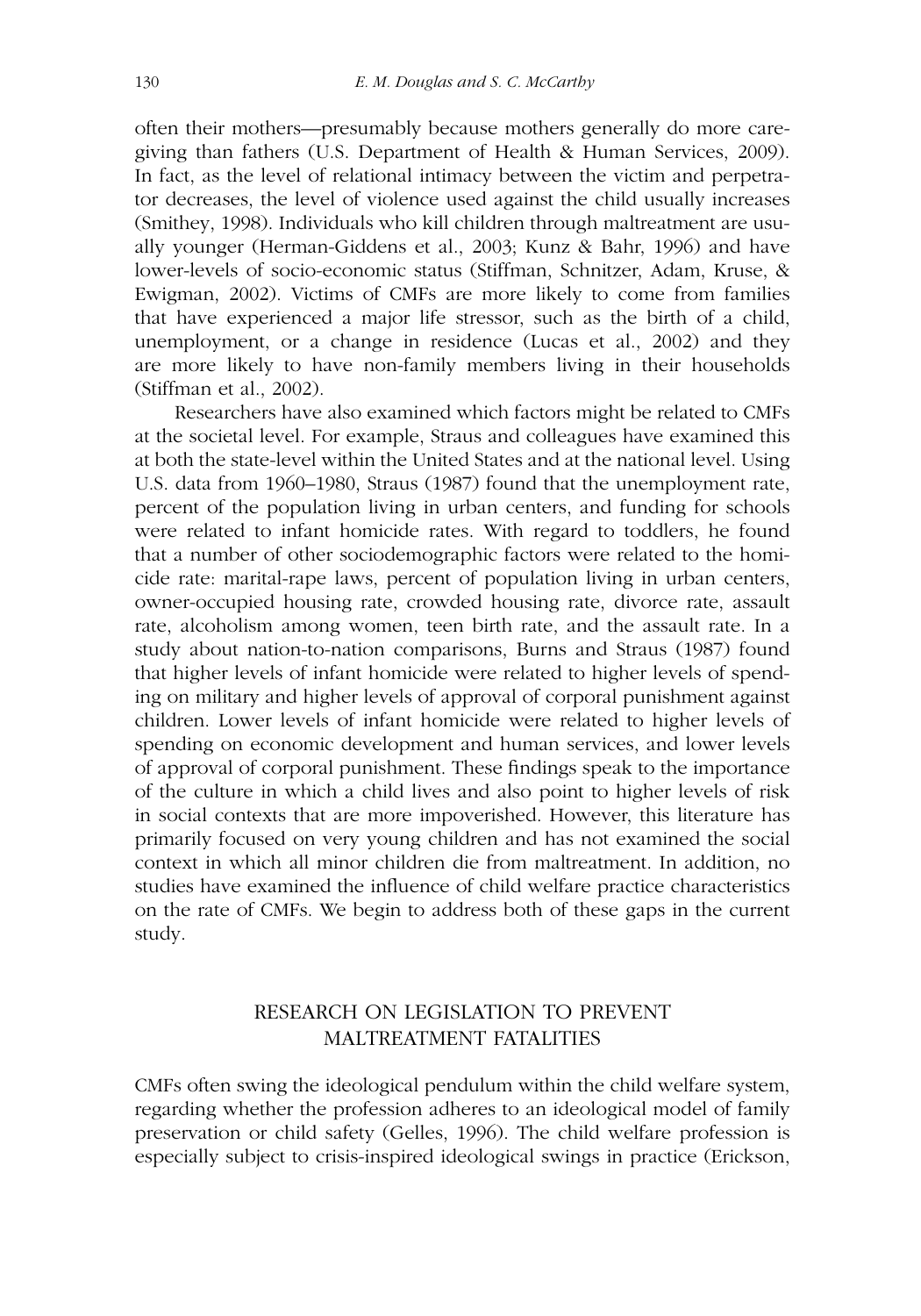often their mothers—presumably because mothers generally do more caregiving than fathers (U.S. Department of Health & Human Services, 2009). In fact, as the level of relational intimacy between the victim and perpetrator decreases, the level of violence used against the child usually increases (Smithey, 1998). Individuals who kill children through maltreatment are usually younger (Herman-Giddens et al., 2003; Kunz & Bahr, 1996) and have lower-levels of socio-economic status (Stiffman, Schnitzer, Adam, Kruse, & Ewigman, 2002). Victims of CMFs are more likely to come from families that have experienced a major life stressor, such as the birth of a child, unemployment, or a change in residence (Lucas et al., 2002) and they are more likely to have non-family members living in their households (Stiffman et al., 2002).

Researchers have also examined which factors might be related to CMFs at the societal level. For example, Straus and colleagues have examined this at both the state-level within the United States and at the national level. Using U.S. data from 1960–1980, Straus (1987) found that the unemployment rate, percent of the population living in urban centers, and funding for schools were related to infant homicide rates. With regard to toddlers, he found that a number of other sociodemographic factors were related to the homicide rate: marital-rape laws, percent of population living in urban centers, owner-occupied housing rate, crowded housing rate, divorce rate, assault rate, alcoholism among women, teen birth rate, and the assault rate. In a study about nation-to-nation comparisons, Burns and Straus (1987) found that higher levels of infant homicide were related to higher levels of spending on military and higher levels of approval of corporal punishment against children. Lower levels of infant homicide were related to higher levels of spending on economic development and human services, and lower levels of approval of corporal punishment. These findings speak to the importance of the culture in which a child lives and also point to higher levels of risk in social contexts that are more impoverished. However, this literature has primarily focused on very young children and has not examined the social context in which all minor children die from maltreatment. In addition, no studies have examined the influence of child welfare practice characteristics on the rate of CMFs. We begin to address both of these gaps in the current study.

## RESEARCH ON LEGISLATION TO PREVENT MALTREATMENT FATALITIES

CMFs often swing the ideological pendulum within the child welfare system, regarding whether the profession adheres to an ideological model of family preservation or child safety (Gelles, 1996). The child welfare profession is especially subject to crisis-inspired ideological swings in practice (Erickson,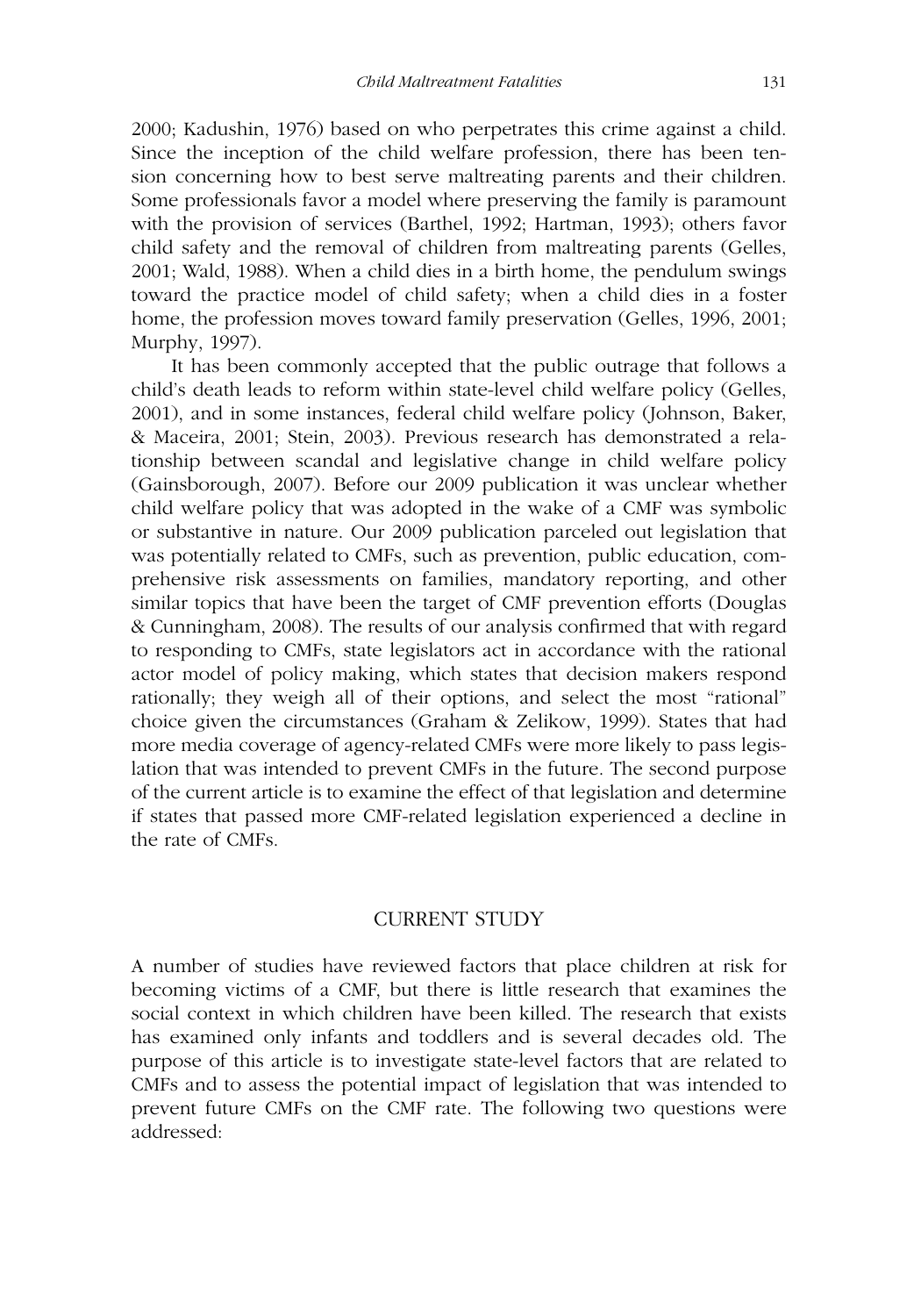2000; Kadushin, 1976) based on who perpetrates this crime against a child. Since the inception of the child welfare profession, there has been tension concerning how to best serve maltreating parents and their children. Some professionals favor a model where preserving the family is paramount with the provision of services (Barthel, 1992; Hartman, 1993); others favor child safety and the removal of children from maltreating parents (Gelles, 2001; Wald, 1988). When a child dies in a birth home, the pendulum swings toward the practice model of child safety; when a child dies in a foster home, the profession moves toward family preservation (Gelles, 1996, 2001; Murphy, 1997).

It has been commonly accepted that the public outrage that follows a child's death leads to reform within state-level child welfare policy (Gelles, 2001), and in some instances, federal child welfare policy (Johnson, Baker, & Maceira, 2001; Stein, 2003). Previous research has demonstrated a relationship between scandal and legislative change in child welfare policy (Gainsborough, 2007). Before our 2009 publication it was unclear whether child welfare policy that was adopted in the wake of a CMF was symbolic or substantive in nature. Our 2009 publication parceled out legislation that was potentially related to CMFs, such as prevention, public education, comprehensive risk assessments on families, mandatory reporting, and other similar topics that have been the target of CMF prevention efforts (Douglas & Cunningham, 2008). The results of our analysis confirmed that with regard to responding to CMFs, state legislators act in accordance with the rational actor model of policy making, which states that decision makers respond rationally; they weigh all of their options, and select the most "rational" choice given the circumstances (Graham & Zelikow, 1999). States that had more media coverage of agency-related CMFs were more likely to pass legislation that was intended to prevent CMFs in the future. The second purpose of the current article is to examine the effect of that legislation and determine if states that passed more CMF-related legislation experienced a decline in the rate of CMFs.

#### CURRENT STUDY

A number of studies have reviewed factors that place children at risk for becoming victims of a CMF, but there is little research that examines the social context in which children have been killed. The research that exists has examined only infants and toddlers and is several decades old. The purpose of this article is to investigate state-level factors that are related to CMFs and to assess the potential impact of legislation that was intended to prevent future CMFs on the CMF rate. The following two questions were addressed: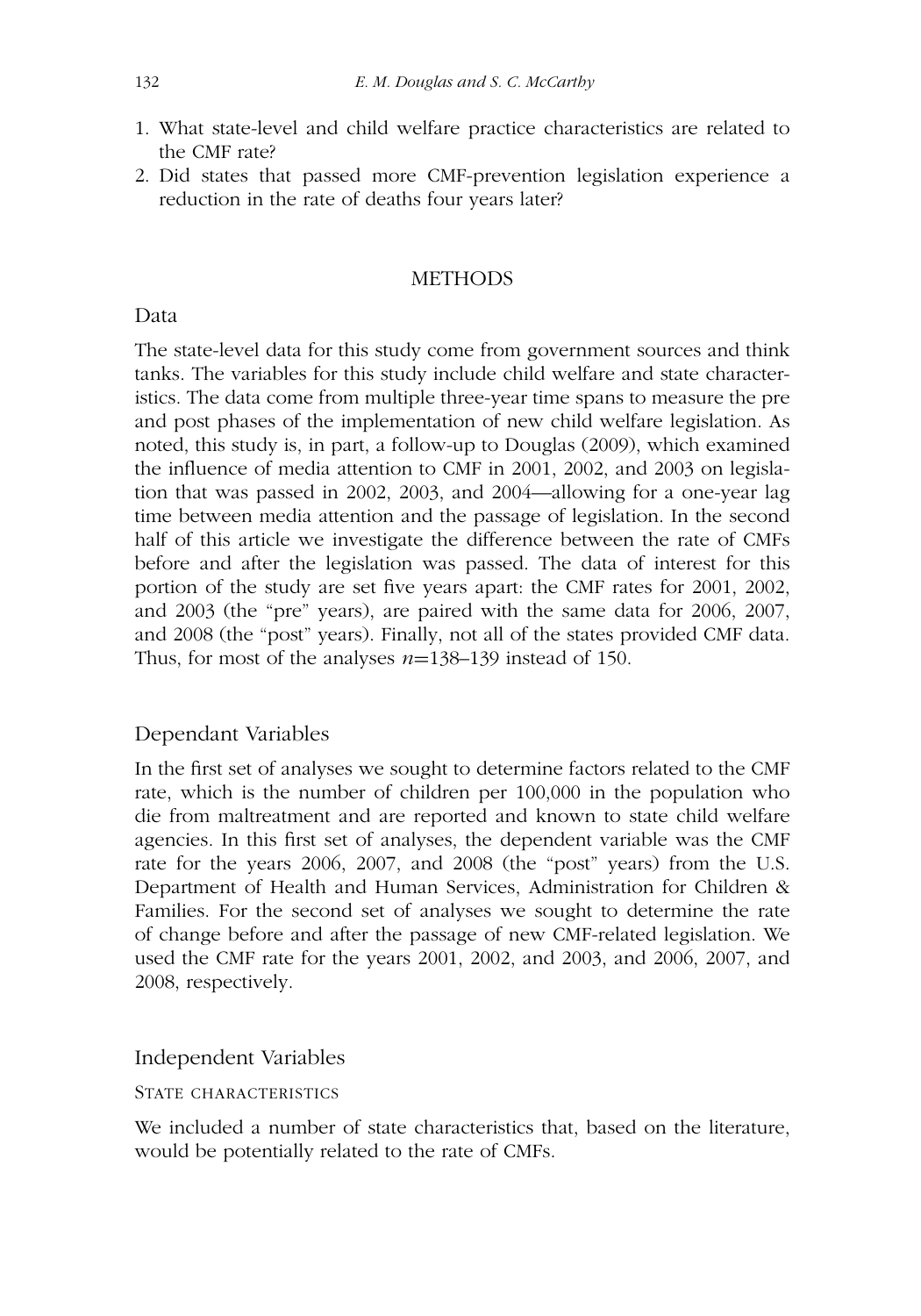- 1. What state-level and child welfare practice characteristics are related to the CMF rate?
- 2. Did states that passed more CMF-prevention legislation experience a reduction in the rate of deaths four years later?

### **METHODS**

### Data

The state-level data for this study come from government sources and think tanks. The variables for this study include child welfare and state characteristics. The data come from multiple three-year time spans to measure the pre and post phases of the implementation of new child welfare legislation. As noted, this study is, in part, a follow-up to Douglas (2009), which examined the influence of media attention to CMF in 2001, 2002, and 2003 on legislation that was passed in 2002, 2003, and 2004—allowing for a one-year lag time between media attention and the passage of legislation. In the second half of this article we investigate the difference between the rate of CMFs before and after the legislation was passed. The data of interest for this portion of the study are set five years apart: the CMF rates for 2001, 2002, and 2003 (the "pre" years), are paired with the same data for 2006, 2007, and 2008 (the "post" years). Finally, not all of the states provided CMF data. Thus, for most of the analyses *n*=138–139 instead of 150.

## Dependant Variables

In the first set of analyses we sought to determine factors related to the CMF rate, which is the number of children per 100,000 in the population who die from maltreatment and are reported and known to state child welfare agencies. In this first set of analyses, the dependent variable was the CMF rate for the years 2006, 2007, and 2008 (the "post" years) from the U.S. Department of Health and Human Services, Administration for Children & Families. For the second set of analyses we sought to determine the rate of change before and after the passage of new CMF-related legislation. We used the CMF rate for the years 2001, 2002, and 2003, and 2006, 2007, and 2008, respectively.

### Independent Variables

#### STATE CHARACTERISTICS

We included a number of state characteristics that, based on the literature, would be potentially related to the rate of CMFs.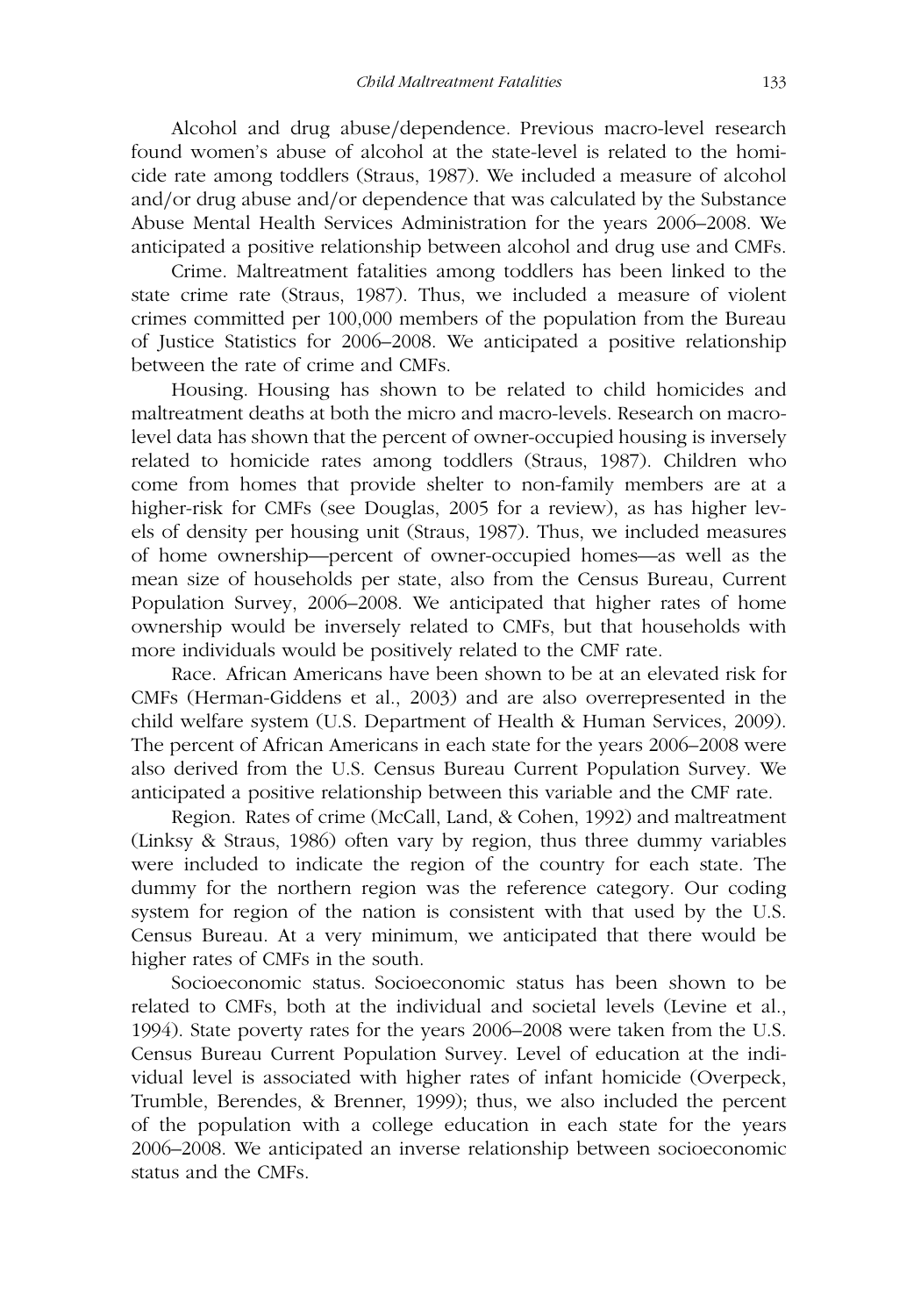Alcohol and drug abuse*/*dependence. Previous macro-level research found women's abuse of alcohol at the state-level is related to the homicide rate among toddlers (Straus, 1987). We included a measure of alcohol and*/*or drug abuse and*/*or dependence that was calculated by the Substance Abuse Mental Health Services Administration for the years 2006–2008. We anticipated a positive relationship between alcohol and drug use and CMFs.

Crime. Maltreatment fatalities among toddlers has been linked to the state crime rate (Straus, 1987). Thus, we included a measure of violent crimes committed per 100,000 members of the population from the Bureau of Justice Statistics for 2006–2008. We anticipated a positive relationship between the rate of crime and CMFs.

Housing. Housing has shown to be related to child homicides and maltreatment deaths at both the micro and macro-levels. Research on macrolevel data has shown that the percent of owner-occupied housing is inversely related to homicide rates among toddlers (Straus, 1987). Children who come from homes that provide shelter to non-family members are at a higher-risk for CMFs (see Douglas, 2005 for a review), as has higher levels of density per housing unit (Straus, 1987). Thus, we included measures of home ownership—percent of owner-occupied homes—as well as the mean size of households per state, also from the Census Bureau, Current Population Survey, 2006–2008. We anticipated that higher rates of home ownership would be inversely related to CMFs, but that households with more individuals would be positively related to the CMF rate.

Race. African Americans have been shown to be at an elevated risk for CMFs (Herman-Giddens et al., 2003) and are also overrepresented in the child welfare system (U.S. Department of Health & Human Services, 2009). The percent of African Americans in each state for the years 2006–2008 were also derived from the U.S. Census Bureau Current Population Survey. We anticipated a positive relationship between this variable and the CMF rate.

Region. Rates of crime (McCall, Land, & Cohen, 1992) and maltreatment (Linksy & Straus, 1986) often vary by region, thus three dummy variables were included to indicate the region of the country for each state. The dummy for the northern region was the reference category. Our coding system for region of the nation is consistent with that used by the U.S. Census Bureau. At a very minimum, we anticipated that there would be higher rates of CMFs in the south.

Socioeconomic status. Socioeconomic status has been shown to be related to CMFs, both at the individual and societal levels (Levine et al., 1994). State poverty rates for the years 2006–2008 were taken from the U.S. Census Bureau Current Population Survey. Level of education at the individual level is associated with higher rates of infant homicide (Overpeck, Trumble, Berendes, & Brenner, 1999); thus, we also included the percent of the population with a college education in each state for the years 2006–2008. We anticipated an inverse relationship between socioeconomic status and the CMFs.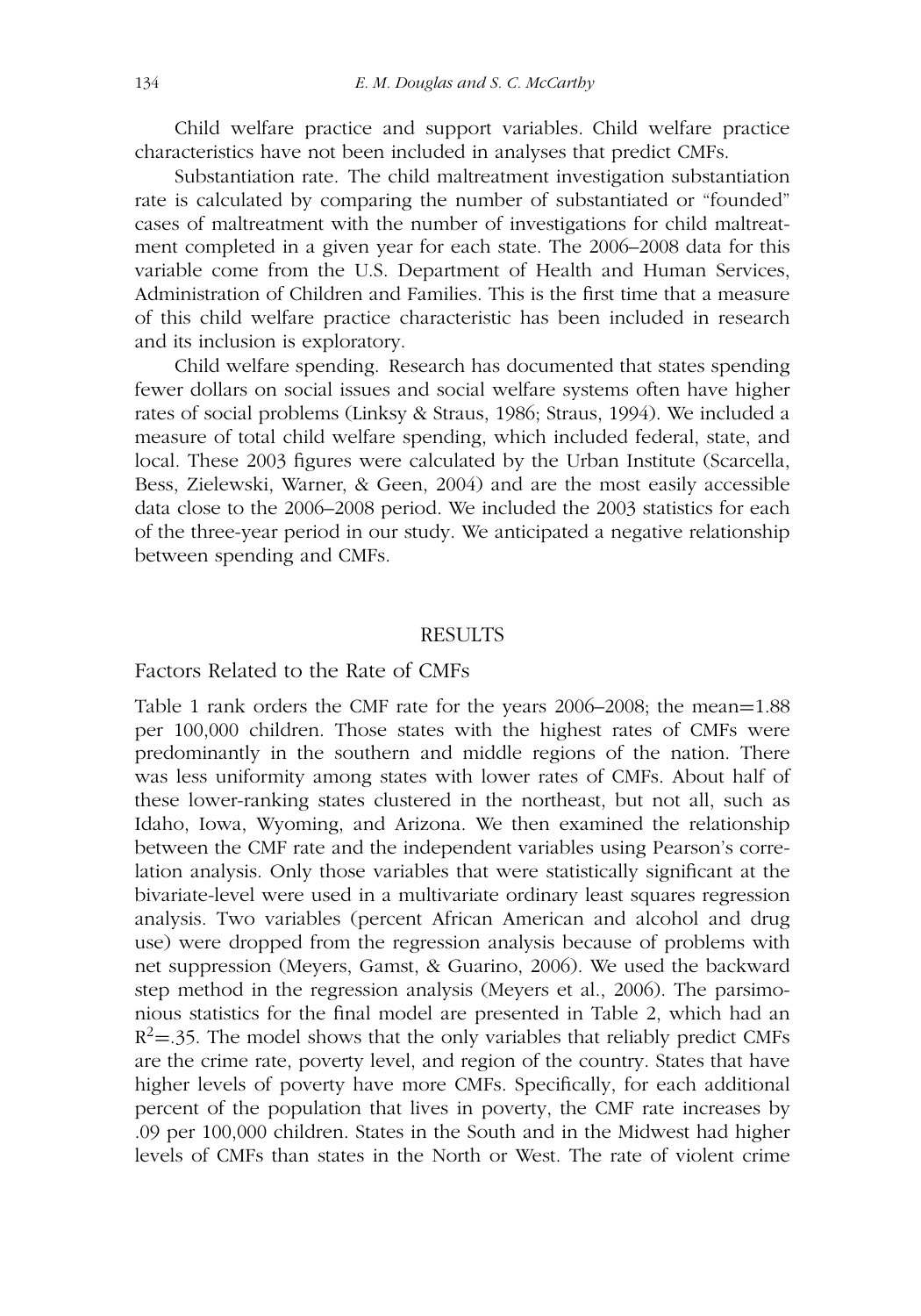Child welfare practice and support variables. Child welfare practice characteristics have not been included in analyses that predict CMFs.

Substantiation rate. The child maltreatment investigation substantiation rate is calculated by comparing the number of substantiated or "founded" cases of maltreatment with the number of investigations for child maltreatment completed in a given year for each state. The 2006–2008 data for this variable come from the U.S. Department of Health and Human Services, Administration of Children and Families. This is the first time that a measure of this child welfare practice characteristic has been included in research and its inclusion is exploratory.

Child welfare spending. Research has documented that states spending fewer dollars on social issues and social welfare systems often have higher rates of social problems (Linksy & Straus, 1986; Straus, 1994). We included a measure of total child welfare spending, which included federal, state, and local. These 2003 figures were calculated by the Urban Institute (Scarcella, Bess, Zielewski, Warner, & Geen, 2004) and are the most easily accessible data close to the 2006–2008 period. We included the 2003 statistics for each of the three-year period in our study. We anticipated a negative relationship between spending and CMFs.

#### RESULTS

#### Factors Related to the Rate of CMFs

Table 1 rank orders the CMF rate for the years 2006–2008; the mean=1.88 per 100,000 children. Those states with the highest rates of CMFs were predominantly in the southern and middle regions of the nation. There was less uniformity among states with lower rates of CMFs. About half of these lower-ranking states clustered in the northeast, but not all, such as Idaho, Iowa, Wyoming, and Arizona. We then examined the relationship between the CMF rate and the independent variables using Pearson's correlation analysis. Only those variables that were statistically significant at the bivariate-level were used in a multivariate ordinary least squares regression analysis. Two variables (percent African American and alcohol and drug use) were dropped from the regression analysis because of problems with net suppression (Meyers, Gamst, & Guarino, 2006). We used the backward step method in the regression analysis (Meyers et al., 2006). The parsimonious statistics for the final model are presented in Table 2, which had an  $R<sup>2</sup>=35$ . The model shows that the only variables that reliably predict CMFs are the crime rate, poverty level, and region of the country. States that have higher levels of poverty have more CMFs. Specifically, for each additional percent of the population that lives in poverty, the CMF rate increases by .09 per 100,000 children. States in the South and in the Midwest had higher levels of CMFs than states in the North or West. The rate of violent crime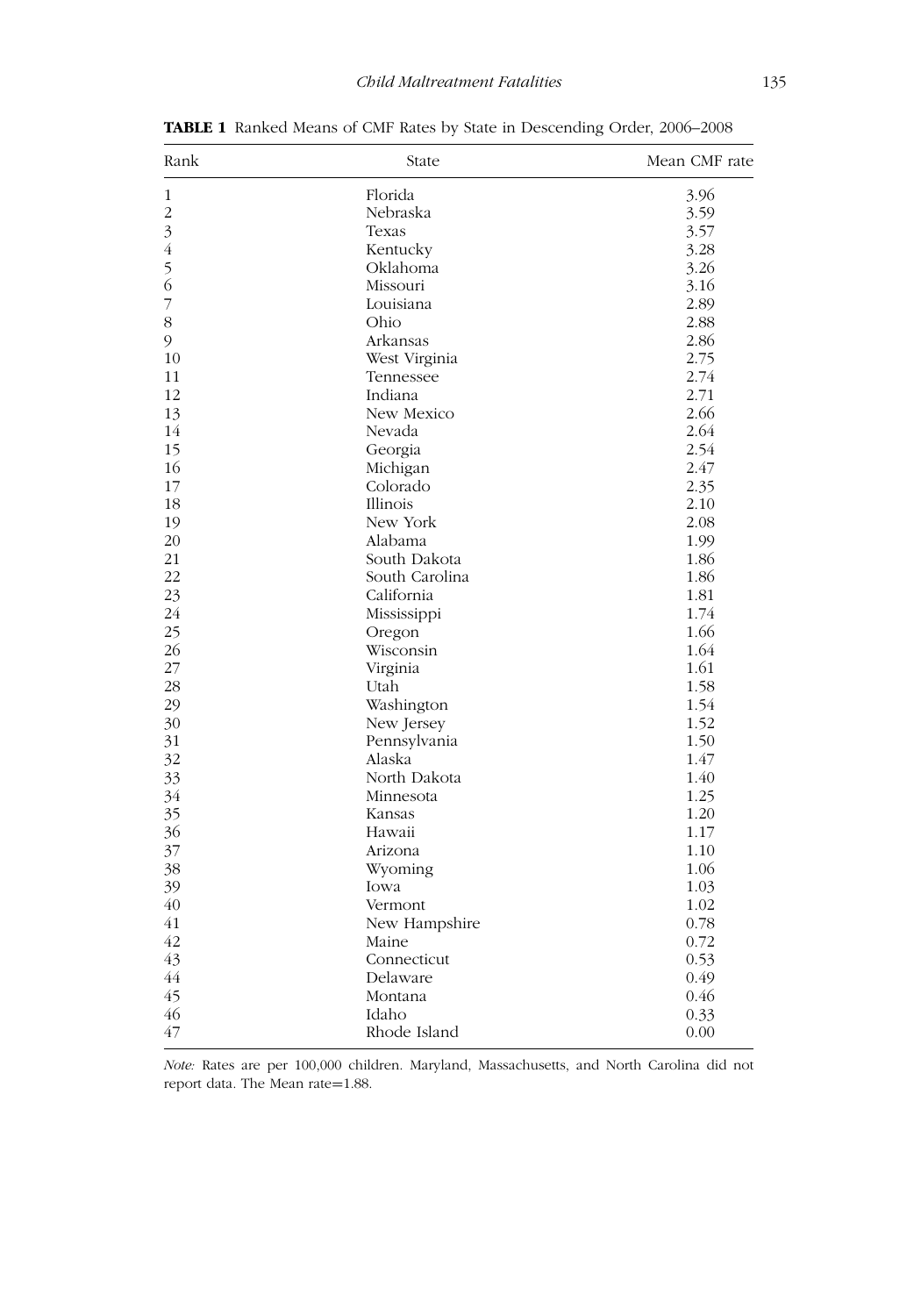| Rank           | State          | Mean CMF rate |  |
|----------------|----------------|---------------|--|
| 1              | Florida        | 3.96          |  |
| $\overline{c}$ | Nebraska       | 3.59          |  |
| $\overline{3}$ | Texas          | 3.57          |  |
| $\overline{4}$ | Kentucky       | 3.28          |  |
| 5              | Oklahoma       | 3.26          |  |
| 6              | Missouri       | 3.16          |  |
| 7              | Louisiana      | 2.89          |  |
| 8              | Ohio           | 2.88          |  |
| 9              | Arkansas       | 2.86          |  |
| 10             | West Virginia  | 2.75          |  |
| 11             | Tennessee      | 2.74          |  |
| 12             | Indiana        | 2.71          |  |
| 13             | New Mexico     | 2.66          |  |
| 14             | Nevada         | 2.64          |  |
| 15             | Georgia        | 2.54          |  |
| 16             | Michigan       | 2.47          |  |
| 17             | Colorado       | 2.35          |  |
| 18             | Illinois       | 2.10          |  |
| 19             | New York       | 2.08          |  |
| 20             | Alabama        | 1.99          |  |
| 21             | South Dakota   | 1.86          |  |
| 22             | South Carolina | 1.86          |  |
| 23             | California     | 1.81          |  |
| 24             | Mississippi    | 1.74          |  |
| 25             | Oregon         | 1.66          |  |
| 26             | Wisconsin      | 1.64          |  |
| 27             | Virginia       | 1.61          |  |
| 28             | Utah           | 1.58          |  |
| 29             | Washington     | 1.54          |  |
| 30             | New Jersey     | 1.52          |  |
| 31             | Pennsylvania   | 1.50          |  |
| 32             | Alaska         | 1.47          |  |
| 33             | North Dakota   | 1.40          |  |
| 34             | Minnesota      | 1.25          |  |
| 35             | Kansas         | 1.20          |  |
| 36             | Hawaii         | 1.17          |  |
| 37             | Arizona        | 1.10          |  |
| 38             | Wyoming        | 1.06          |  |
| 39             | Iowa           | 1.03          |  |
| 40             | Vermont        | 1.02          |  |
| 41             | New Hampshire  | 0.78          |  |
| 42             | Maine          | 0.72          |  |
| 43             | Connecticut    | 0.53          |  |
| 44             | Delaware       | 0.49          |  |
| 45             | Montana        | 0.46          |  |
| 46             | Idaho          | 0.33          |  |
| 47             | Rhode Island   | 0.00          |  |

**TABLE 1** Ranked Means of CMF Rates by State in Descending Order, 2006–2008

*Note:* Rates are per 100,000 children. Maryland, Massachusetts, and North Carolina did not report data. The Mean rate=1.88.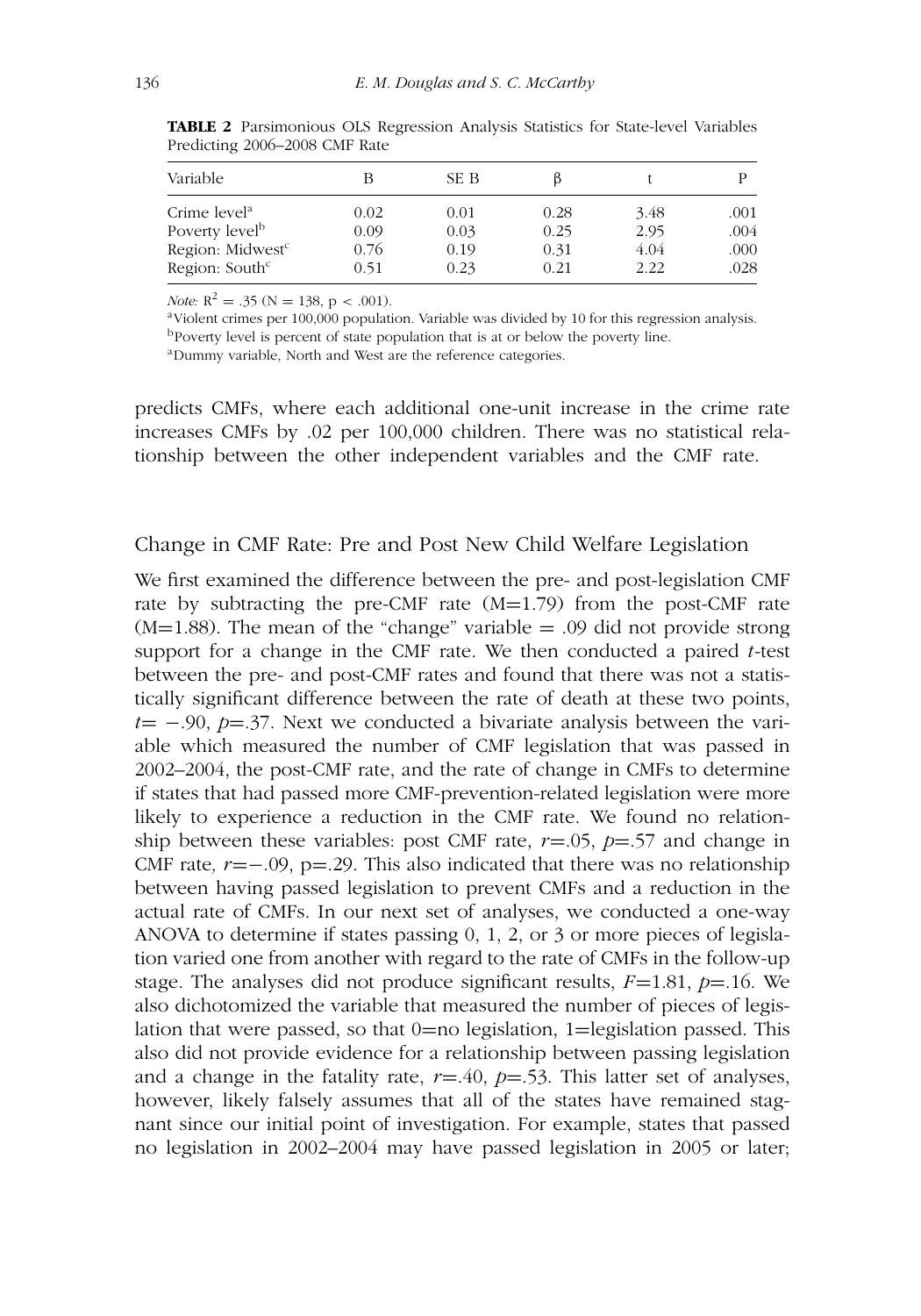| Variable                                                 |              | SE B         |              |              |              |
|----------------------------------------------------------|--------------|--------------|--------------|--------------|--------------|
| Crime level <sup>a</sup>                                 | 0.02         | 0.01         | 0.28         | 3.48         | .001         |
| Poverty level <sup>b</sup>                               | 0.09         | 0.03         | 0.25         | 2.95         | .004         |
| Region: Midwest <sup>c</sup><br>Region: South $\epsilon$ | 0.76<br>0.51 | 0.19<br>0.23 | 0.31<br>0.21 | 4.04<br>2.22 | .000<br>.028 |

**TABLE 2** Parsimonious OLS Regression Analysis Statistics for State-level Variables Predicting 2006–2008 CMF Rate

*Note:*  $R^2 = .35$  (N = 138, p < .001).<br><sup>a</sup>Violent crimes per 100,000 population. Variable was divided by 10 for this regression analysis. bPoverty level is percent of state population that is at or below the poverty line.

aDummy variable, North and West are the reference categories.

predicts CMFs, where each additional one-unit increase in the crime rate increases CMFs by .02 per 100,000 children. There was no statistical relationship between the other independent variables and the CMF rate.

Change in CMF Rate: Pre and Post New Child Welfare Legislation

We first examined the difference between the pre- and post-legislation CMF rate by subtracting the pre-CMF rate  $(M=1.79)$  from the post-CMF rate  $(M=1.88)$ . The mean of the "change" variable = .09 did not provide strong support for a change in the CMF rate. We then conducted a paired *t*-test between the pre- and post-CMF rates and found that there was not a statistically significant difference between the rate of death at these two points, *t*= −.90, *p*=.37. Next we conducted a bivariate analysis between the variable which measured the number of CMF legislation that was passed in 2002–2004, the post-CMF rate, and the rate of change in CMFs to determine if states that had passed more CMF-prevention-related legislation were more likely to experience a reduction in the CMF rate. We found no relationship between these variables: post CMF rate,  $r = .05$ ,  $p = .57$  and change in CMF rate*, r*=−.09, p=.29. This also indicated that there was no relationship between having passed legislation to prevent CMFs and a reduction in the actual rate of CMFs. In our next set of analyses, we conducted a one-way ANOVA to determine if states passing 0, 1, 2, or 3 or more pieces of legislation varied one from another with regard to the rate of CMFs in the follow-up stage. The analyses did not produce significant results,  $F=1.81$ ,  $p=.16$ . We also dichotomized the variable that measured the number of pieces of legislation that were passed, so that  $0=$ no legislation, 1 $=$ legislation passed. This also did not provide evidence for a relationship between passing legislation and a change in the fatality rate,  $r = .40$ ,  $p = .53$ . This latter set of analyses, however, likely falsely assumes that all of the states have remained stagnant since our initial point of investigation. For example, states that passed no legislation in 2002–2004 may have passed legislation in 2005 or later;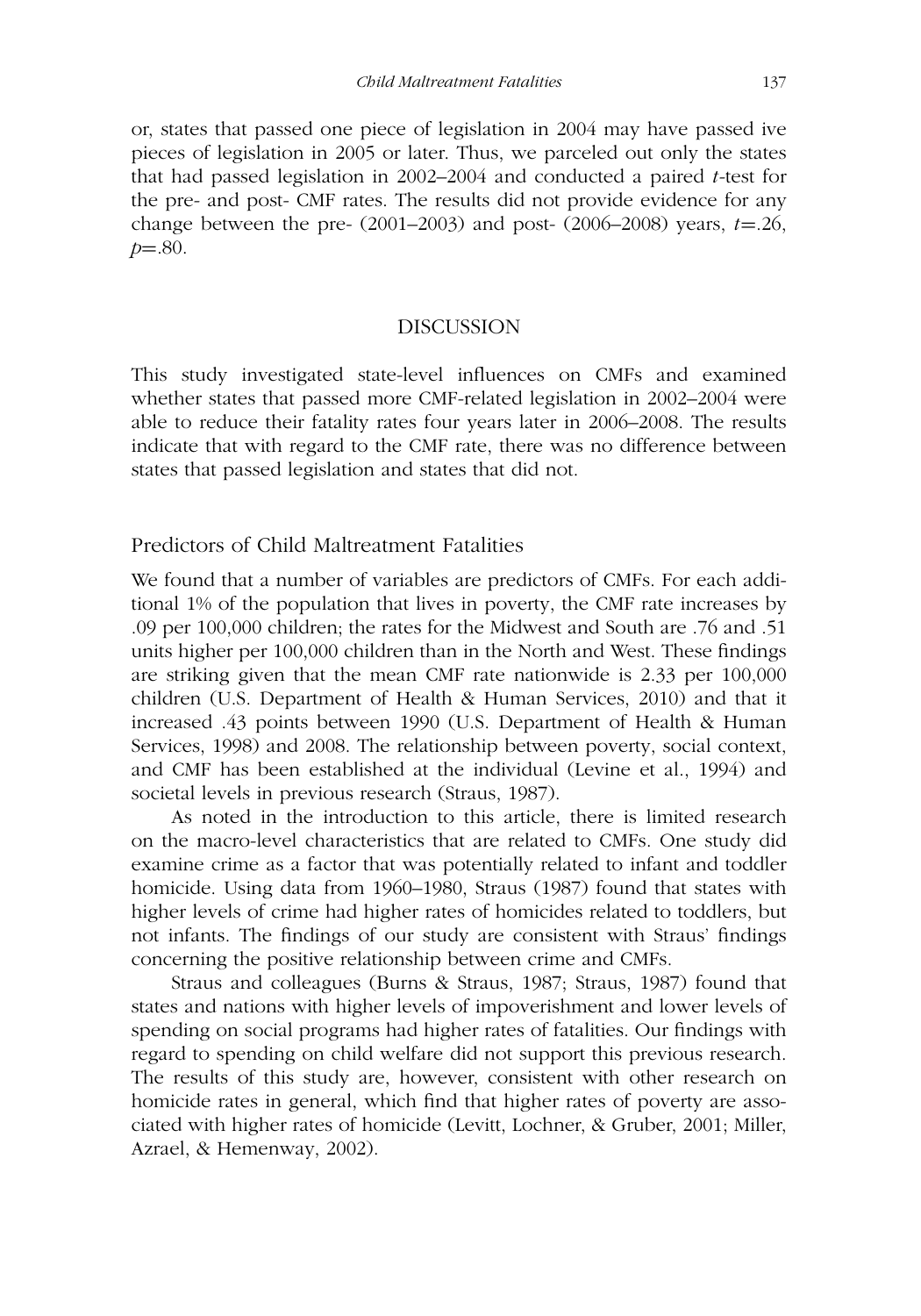or, states that passed one piece of legislation in 2004 may have passed ive pieces of legislation in 2005 or later. Thus, we parceled out only the states that had passed legislation in 2002–2004 and conducted a paired *t*-test for the pre- and post- CMF rates. The results did not provide evidence for any change between the pre-  $(2001–2003)$  and post-  $(2006–2008)$  years,  $t = .26$ , *p*=.80.

### **DISCUSSION**

This study investigated state-level influences on CMFs and examined whether states that passed more CMF-related legislation in 2002–2004 were able to reduce their fatality rates four years later in 2006–2008. The results indicate that with regard to the CMF rate, there was no difference between states that passed legislation and states that did not.

### Predictors of Child Maltreatment Fatalities

We found that a number of variables are predictors of CMFs. For each additional 1% of the population that lives in poverty, the CMF rate increases by .09 per 100,000 children; the rates for the Midwest and South are .76 and .51 units higher per 100,000 children than in the North and West. These findings are striking given that the mean CMF rate nationwide is 2.33 per 100,000 children (U.S. Department of Health & Human Services, 2010) and that it increased .43 points between 1990 (U.S. Department of Health & Human Services, 1998) and 2008. The relationship between poverty, social context, and CMF has been established at the individual (Levine et al., 1994) and societal levels in previous research (Straus, 1987).

As noted in the introduction to this article, there is limited research on the macro-level characteristics that are related to CMFs. One study did examine crime as a factor that was potentially related to infant and toddler homicide. Using data from 1960–1980, Straus (1987) found that states with higher levels of crime had higher rates of homicides related to toddlers, but not infants. The findings of our study are consistent with Straus' findings concerning the positive relationship between crime and CMFs.

Straus and colleagues (Burns & Straus, 1987; Straus, 1987) found that states and nations with higher levels of impoverishment and lower levels of spending on social programs had higher rates of fatalities. Our findings with regard to spending on child welfare did not support this previous research. The results of this study are, however, consistent with other research on homicide rates in general, which find that higher rates of poverty are associated with higher rates of homicide (Levitt, Lochner, & Gruber, 2001; Miller, Azrael, & Hemenway, 2002).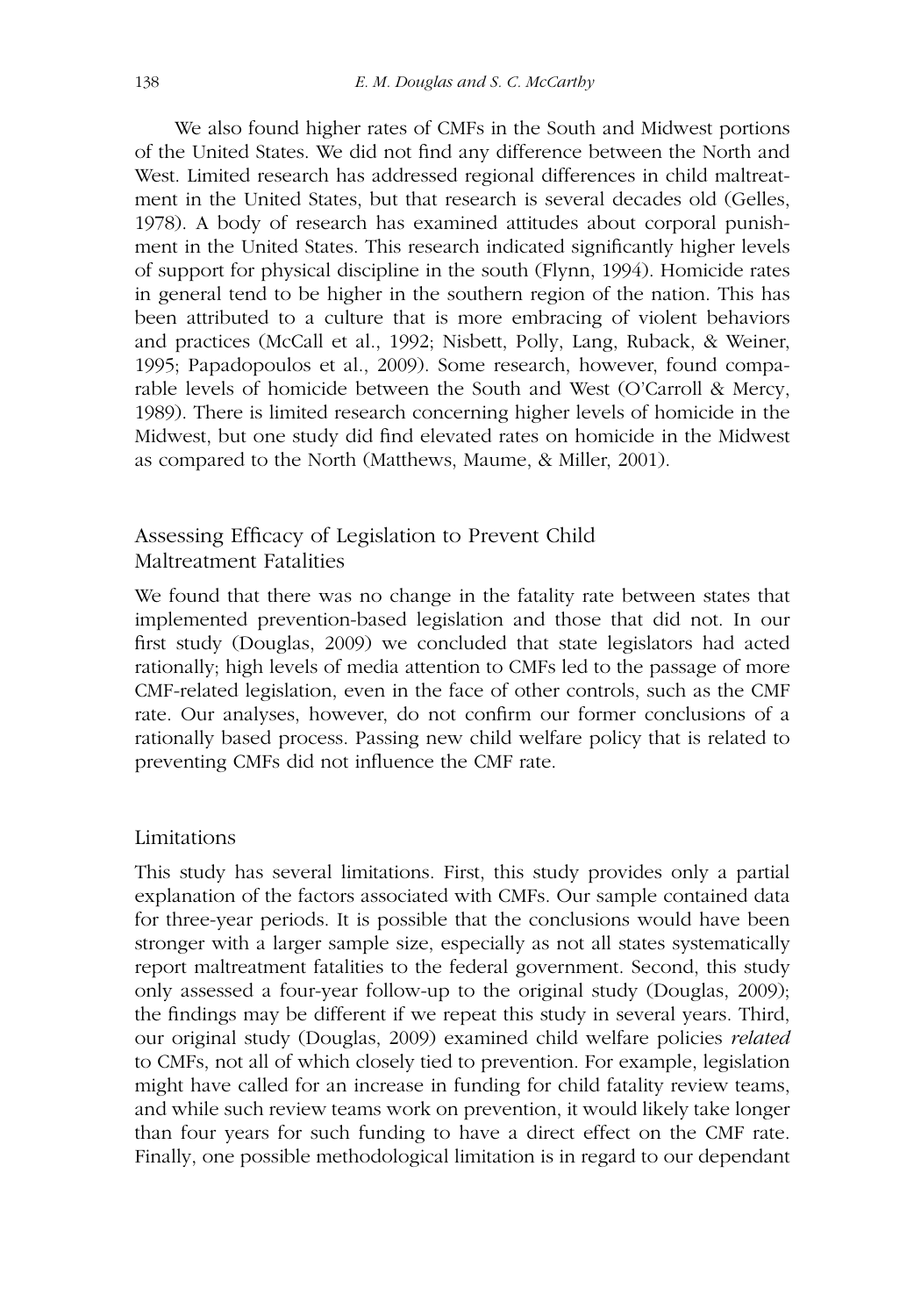We also found higher rates of CMFs in the South and Midwest portions of the United States. We did not find any difference between the North and West. Limited research has addressed regional differences in child maltreatment in the United States, but that research is several decades old (Gelles, 1978). A body of research has examined attitudes about corporal punishment in the United States. This research indicated significantly higher levels of support for physical discipline in the south (Flynn, 1994). Homicide rates in general tend to be higher in the southern region of the nation. This has been attributed to a culture that is more embracing of violent behaviors and practices (McCall et al., 1992; Nisbett, Polly, Lang, Ruback, & Weiner, 1995; Papadopoulos et al., 2009). Some research, however, found comparable levels of homicide between the South and West (O'Carroll & Mercy, 1989). There is limited research concerning higher levels of homicide in the Midwest, but one study did find elevated rates on homicide in the Midwest as compared to the North (Matthews, Maume, & Miller, 2001).

# Assessing Efficacy of Legislation to Prevent Child Maltreatment Fatalities

We found that there was no change in the fatality rate between states that implemented prevention-based legislation and those that did not. In our first study (Douglas, 2009) we concluded that state legislators had acted rationally; high levels of media attention to CMFs led to the passage of more CMF-related legislation, even in the face of other controls, such as the CMF rate. Our analyses, however, do not confirm our former conclusions of a rationally based process. Passing new child welfare policy that is related to preventing CMFs did not influence the CMF rate.

### Limitations

This study has several limitations. First, this study provides only a partial explanation of the factors associated with CMFs. Our sample contained data for three-year periods. It is possible that the conclusions would have been stronger with a larger sample size, especially as not all states systematically report maltreatment fatalities to the federal government. Second, this study only assessed a four-year follow-up to the original study (Douglas, 2009); the findings may be different if we repeat this study in several years. Third, our original study (Douglas, 2009) examined child welfare policies *related* to CMFs, not all of which closely tied to prevention. For example, legislation might have called for an increase in funding for child fatality review teams, and while such review teams work on prevention, it would likely take longer than four years for such funding to have a direct effect on the CMF rate. Finally, one possible methodological limitation is in regard to our dependant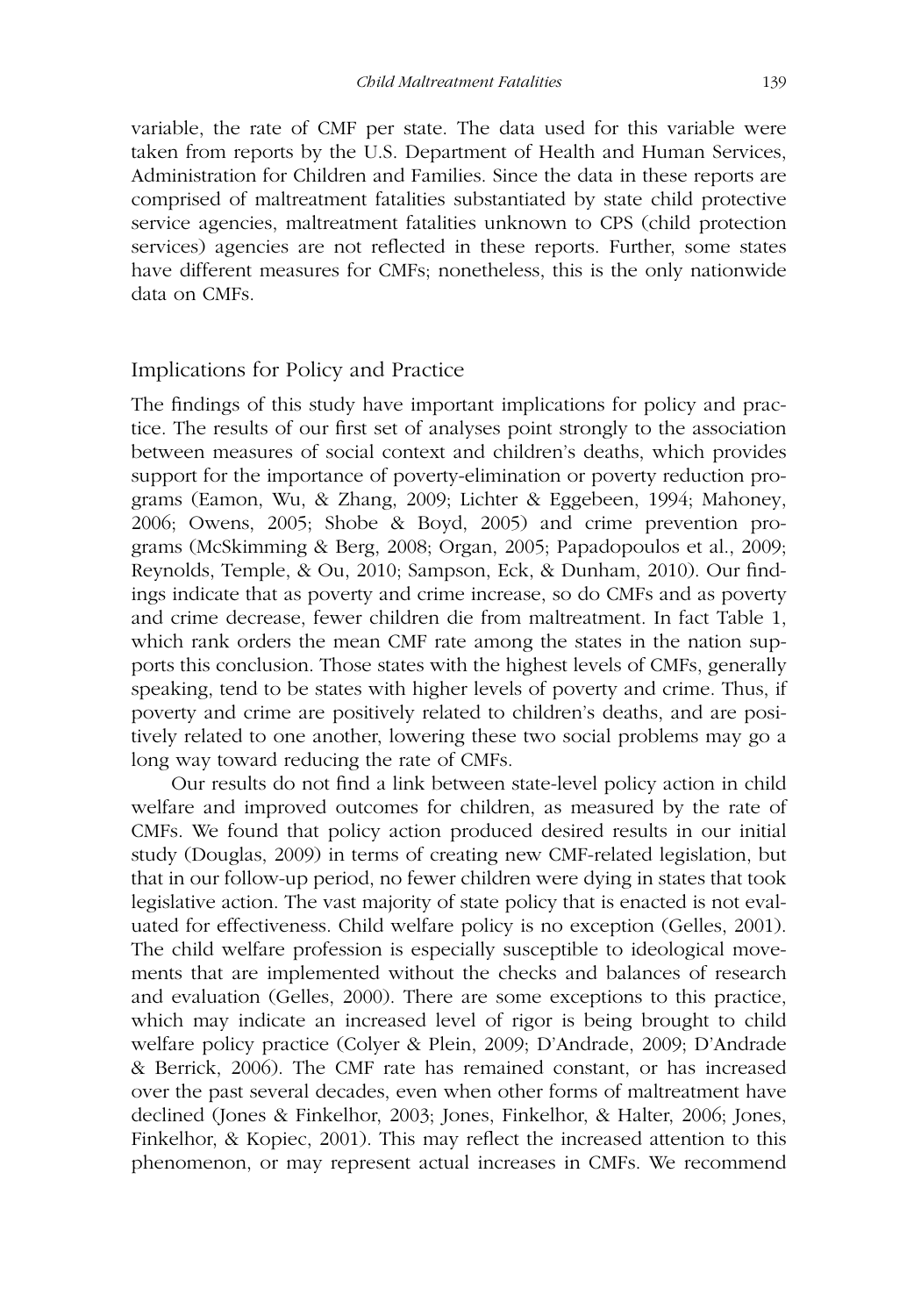variable, the rate of CMF per state. The data used for this variable were taken from reports by the U.S. Department of Health and Human Services, Administration for Children and Families. Since the data in these reports are comprised of maltreatment fatalities substantiated by state child protective service agencies, maltreatment fatalities unknown to CPS (child protection services) agencies are not reflected in these reports. Further, some states have different measures for CMFs; nonetheless, this is the only nationwide data on CMFs.

#### Implications for Policy and Practice

The findings of this study have important implications for policy and practice. The results of our first set of analyses point strongly to the association between measures of social context and children's deaths, which provides support for the importance of poverty-elimination or poverty reduction programs (Eamon, Wu, & Zhang, 2009; Lichter & Eggebeen, 1994; Mahoney, 2006; Owens, 2005; Shobe & Boyd, 2005) and crime prevention programs (McSkimming & Berg, 2008; Organ, 2005; Papadopoulos et al., 2009; Reynolds, Temple, & Ou, 2010; Sampson, Eck, & Dunham, 2010). Our findings indicate that as poverty and crime increase, so do CMFs and as poverty and crime decrease, fewer children die from maltreatment. In fact Table 1, which rank orders the mean CMF rate among the states in the nation supports this conclusion. Those states with the highest levels of CMFs, generally speaking, tend to be states with higher levels of poverty and crime. Thus, if poverty and crime are positively related to children's deaths, and are positively related to one another, lowering these two social problems may go a long way toward reducing the rate of CMFs.

Our results do not find a link between state-level policy action in child welfare and improved outcomes for children, as measured by the rate of CMFs. We found that policy action produced desired results in our initial study (Douglas, 2009) in terms of creating new CMF-related legislation, but that in our follow-up period, no fewer children were dying in states that took legislative action. The vast majority of state policy that is enacted is not evaluated for effectiveness. Child welfare policy is no exception (Gelles, 2001). The child welfare profession is especially susceptible to ideological movements that are implemented without the checks and balances of research and evaluation (Gelles, 2000). There are some exceptions to this practice, which may indicate an increased level of rigor is being brought to child welfare policy practice (Colyer & Plein, 2009; D'Andrade, 2009; D'Andrade & Berrick, 2006). The CMF rate has remained constant, or has increased over the past several decades, even when other forms of maltreatment have declined (Jones & Finkelhor, 2003; Jones, Finkelhor, & Halter, 2006; Jones, Finkelhor, & Kopiec, 2001). This may reflect the increased attention to this phenomenon, or may represent actual increases in CMFs. We recommend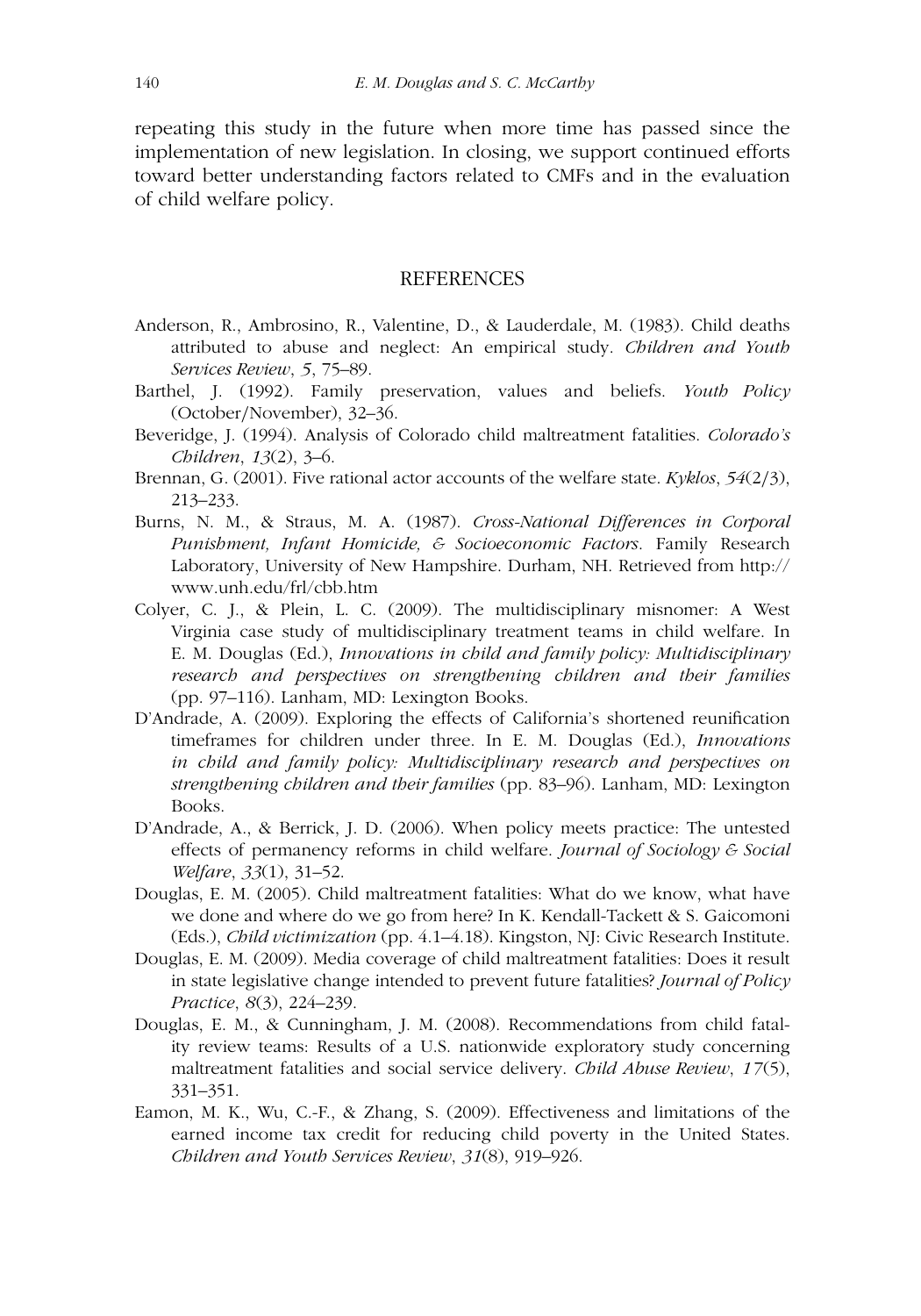repeating this study in the future when more time has passed since the implementation of new legislation. In closing, we support continued efforts toward better understanding factors related to CMFs and in the evaluation of child welfare policy.

#### **REFERENCES**

- Anderson, R., Ambrosino, R., Valentine, D., & Lauderdale, M. (1983). Child deaths attributed to abuse and neglect: An empirical study. *Children and Youth Services Review*, *5*, 75–89.
- Barthel, J. (1992). Family preservation, values and beliefs. *Youth Policy* (October*/*November), 32–36.
- Beveridge, J. (1994). Analysis of Colorado child maltreatment fatalities. *Colorado's Children*, *13*(2), 3–6.
- Brennan, G. (2001). Five rational actor accounts of the welfare state. *Kyklos*, *54*(2*/*3), 213–233.
- Burns, N. M., & Straus, M. A. (1987). *Cross-National Differences in Corporal Punishment, Infant Homicide, & Socioeconomic Factors*. Family Research Laboratory, University of New Hampshire. Durham, NH. Retrieved from http:// www.unh.edu/frl/cbb.htm
- Colyer, C. J., & Plein, L. C. (2009). The multidisciplinary misnomer: A West Virginia case study of multidisciplinary treatment teams in child welfare. In E. M. Douglas (Ed.), *Innovations in child and family policy: Multidisciplinary research and perspectives on strengthening children and their families* (pp. 97–116). Lanham, MD: Lexington Books.
- D'Andrade, A. (2009). Exploring the effects of California's shortened reunification timeframes for children under three. In E. M. Douglas (Ed.), *Innovations in child and family policy: Multidisciplinary research and perspectives on strengthening children and their families* (pp. 83–96). Lanham, MD: Lexington Books.
- D'Andrade, A., & Berrick, J. D. (2006). When policy meets practice: The untested effects of permanency reforms in child welfare. *Journal of Sociology & Social Welfare*, *33*(1), 31–52.
- Douglas, E. M. (2005). Child maltreatment fatalities: What do we know, what have we done and where do we go from here? In K. Kendall-Tackett & S. Gaicomoni (Eds.), *Child victimization* (pp. 4.1–4.18). Kingston, NJ: Civic Research Institute.
- Douglas, E. M. (2009). Media coverage of child maltreatment fatalities: Does it result in state legislative change intended to prevent future fatalities? *Journal of Policy Practice*, *8*(3), 224–239.
- Douglas, E. M., & Cunningham, J. M. (2008). Recommendations from child fatality review teams: Results of a U.S. nationwide exploratory study concerning maltreatment fatalities and social service delivery. *Child Abuse Review*, *17*(5), 331–351.
- Eamon, M. K., Wu, C.-F., & Zhang, S. (2009). Effectiveness and limitations of the earned income tax credit for reducing child poverty in the United States. *Children and Youth Services Review*, *31*(8), 919–926.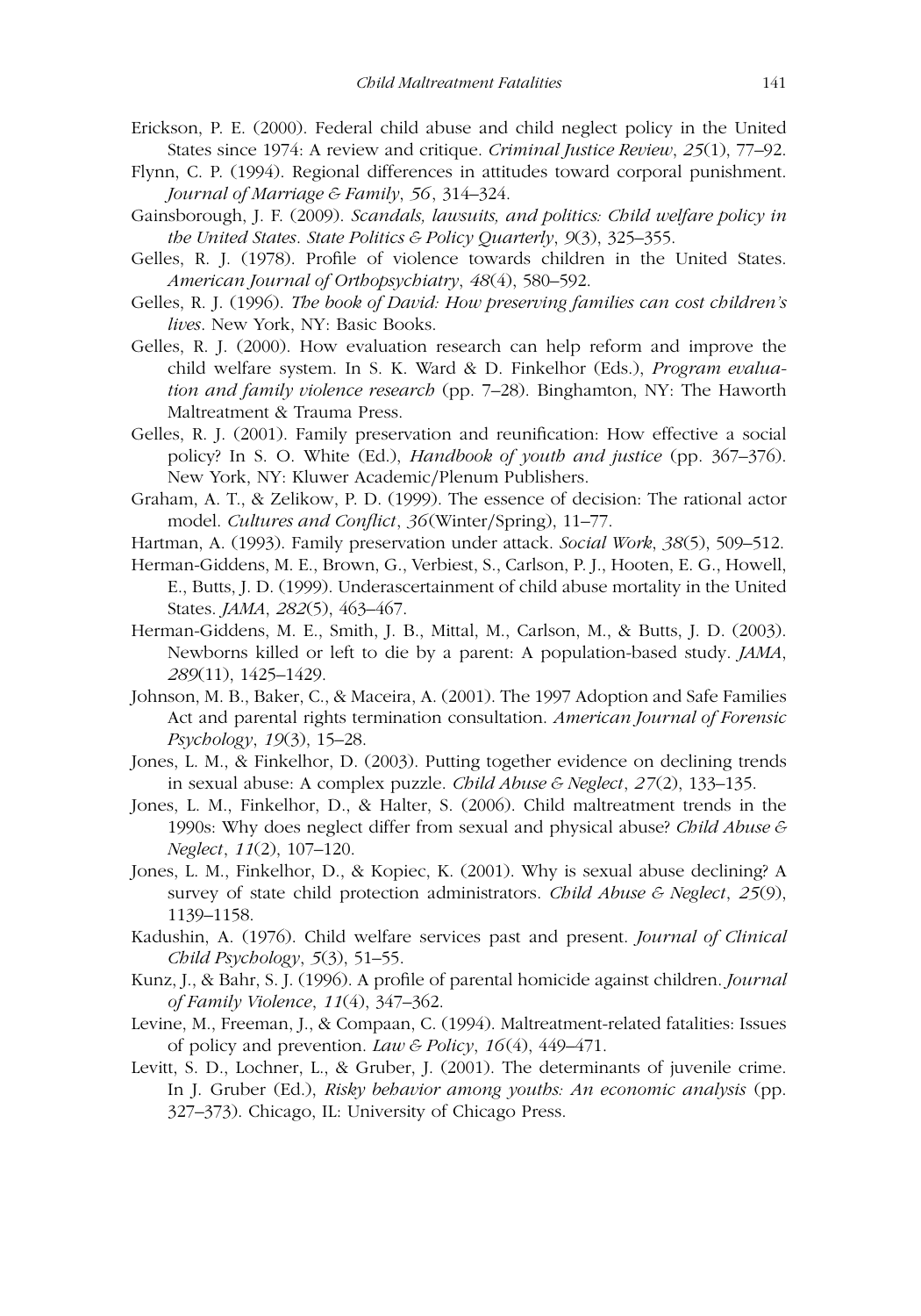- Erickson, P. E. (2000). Federal child abuse and child neglect policy in the United States since 1974: A review and critique. *Criminal Justice Review*, *25*(1), 77–92.
- Flynn, C. P. (1994). Regional differences in attitudes toward corporal punishment. *Journal of Marriage & Family*, *56*, 314–324.
- Gainsborough, J. F. (2009). *Scandals, lawsuits, and politics: Child welfare policy in the United States*. *State Politics & Policy Quarterly*, *9*(3), 325–355.
- Gelles, R. J. (1978). Profile of violence towards children in the United States. *American Journal of Orthopsychiatry*, *48*(4), 580–592.
- Gelles, R. J. (1996). *The book of David: How preserving families can cost children's lives*. New York, NY: Basic Books.
- Gelles, R. J. (2000). How evaluation research can help reform and improve the child welfare system. In S. K. Ward & D. Finkelhor (Eds.), *Program evaluation and family violence research* (pp. 7–28). Binghamton, NY: The Haworth Maltreatment & Trauma Press.
- Gelles, R. J. (2001). Family preservation and reunification: How effective a social policy? In S. O. White (Ed.), *Handbook of youth and justice* (pp. 367–376). New York, NY: Kluwer Academic*/*Plenum Publishers.
- Graham, A. T., & Zelikow, P. D. (1999). The essence of decision: The rational actor model. *Cultures and Conflict*, *36*(Winter*/*Spring), 11–77.
- Hartman, A. (1993). Family preservation under attack. *Social Work*, *38*(5), 509–512.
- Herman-Giddens, M. E., Brown, G., Verbiest, S., Carlson, P. J., Hooten, E. G., Howell, E., Butts, J. D. (1999). Underascertainment of child abuse mortality in the United States. *JAMA*, *282*(5), 463–467.
- Herman-Giddens, M. E., Smith, J. B., Mittal, M., Carlson, M., & Butts, J. D. (2003). Newborns killed or left to die by a parent: A population-based study. *JAMA*, *289*(11), 1425–1429.
- Johnson, M. B., Baker, C., & Maceira, A. (2001). The 1997 Adoption and Safe Families Act and parental rights termination consultation. *American Journal of Forensic Psychology*, *19*(3), 15–28.
- Jones, L. M., & Finkelhor, D. (2003). Putting together evidence on declining trends in sexual abuse: A complex puzzle. *Child Abuse & Neglect*, *27*(2), 133–135.
- Jones, L. M., Finkelhor, D., & Halter, S. (2006). Child maltreatment trends in the 1990s: Why does neglect differ from sexual and physical abuse? *Child Abuse & Neglect*, *11*(2), 107–120.
- Jones, L. M., Finkelhor, D., & Kopiec, K. (2001). Why is sexual abuse declining? A survey of state child protection administrators. *Child Abuse & Neglect*, *25*(9), 1139–1158.
- Kadushin, A. (1976). Child welfare services past and present. *Journal of Clinical Child Psychology*, *5*(3), 51–55.
- Kunz, J., & Bahr, S. J. (1996). A profile of parental homicide against children. *Journal of Family Violence*, *11*(4), 347–362.
- Levine, M., Freeman, J., & Compaan, C. (1994). Maltreatment-related fatalities: Issues of policy and prevention. *Law & Policy*, *16*(4), 449–471.
- Levitt, S. D., Lochner, L., & Gruber, J. (2001). The determinants of juvenile crime. In J. Gruber (Ed.), *Risky behavior among youths: An economic analysis* (pp. 327–373). Chicago, IL: University of Chicago Press.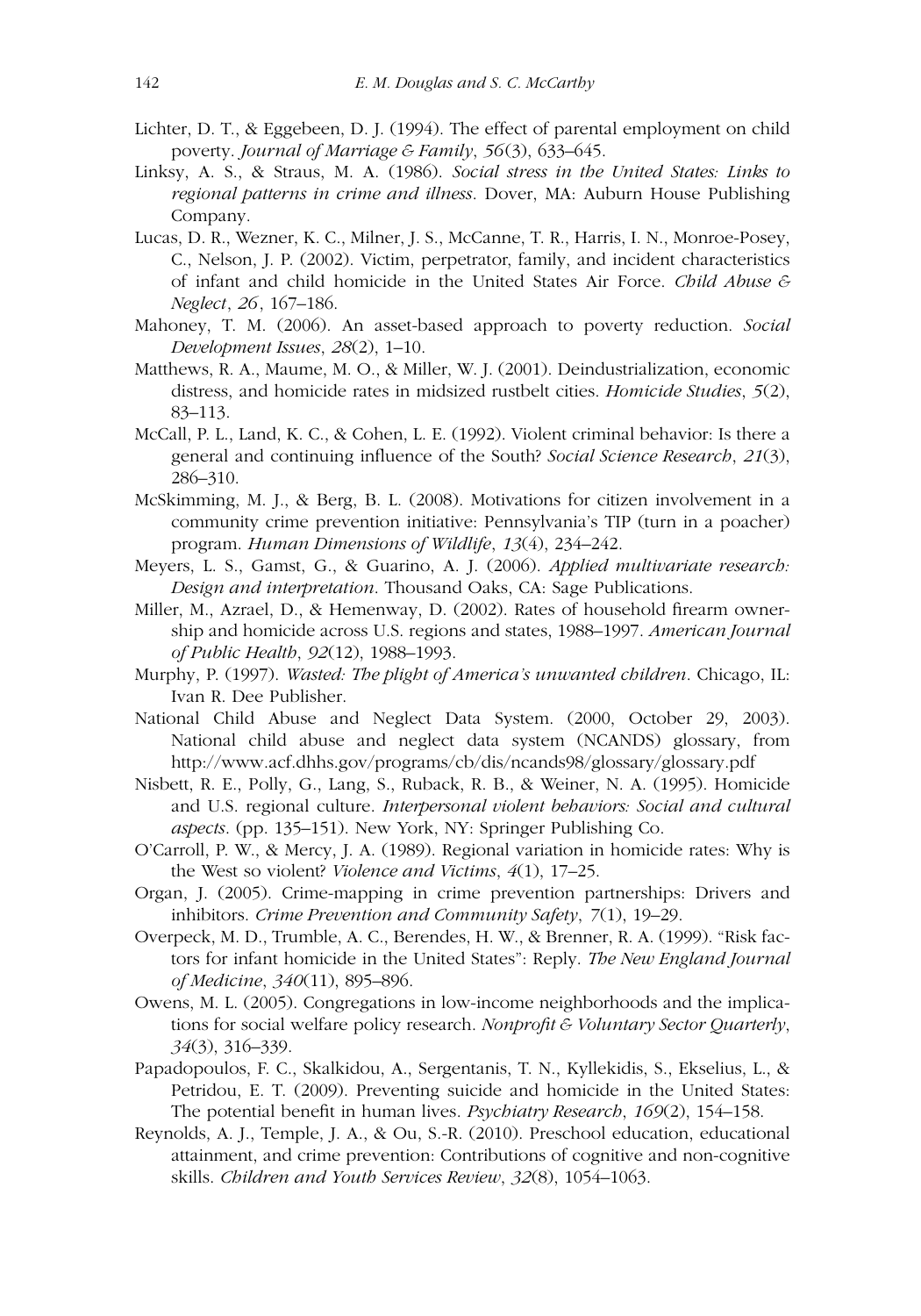- Lichter, D. T., & Eggebeen, D. J. (1994). The effect of parental employment on child poverty. *Journal of Marriage & Family*, *56*(3), 633–645.
- Linksy, A. S., & Straus, M. A. (1986). *Social stress in the United States: Links to regional patterns in crime and illness*. Dover, MA: Auburn House Publishing Company.
- Lucas, D. R., Wezner, K. C., Milner, J. S., McCanne, T. R., Harris, I. N., Monroe-Posey, C., Nelson, J. P. (2002). Victim, perpetrator, family, and incident characteristics of infant and child homicide in the United States Air Force. *Child Abuse & Neglect*, *26*, 167–186.
- Mahoney, T. M. (2006). An asset-based approach to poverty reduction. *Social Development Issues*, *28*(2), 1–10.
- Matthews, R. A., Maume, M. O., & Miller, W. J. (2001). Deindustrialization, economic distress, and homicide rates in midsized rustbelt cities. *Homicide Studies*, *5*(2), 83–113.
- McCall, P. L., Land, K. C., & Cohen, L. E. (1992). Violent criminal behavior: Is there a general and continuing influence of the South? *Social Science Research*, *21*(3), 286–310.
- McSkimming, M. J., & Berg, B. L. (2008). Motivations for citizen involvement in a community crime prevention initiative: Pennsylvania's TIP (turn in a poacher) program. *Human Dimensions of Wildlife*, *13*(4), 234–242.
- Meyers, L. S., Gamst, G., & Guarino, A. J. (2006). *Applied multivariate research: Design and interpretation*. Thousand Oaks, CA: Sage Publications.
- Miller, M., Azrael, D., & Hemenway, D. (2002). Rates of household firearm ownership and homicide across U.S. regions and states, 1988–1997. *American Journal of Public Health*, *92*(12), 1988–1993.
- Murphy, P. (1997). *Wasted: The plight of America's unwanted children*. Chicago, IL: Ivan R. Dee Publisher.
- National Child Abuse and Neglect Data System. (2000, October 29, 2003). National child abuse and neglect data system (NCANDS) glossary, from http://www.acf.dhhs.gov/programs/cb/dis/ncands98/glossary/glossary.pdf
- Nisbett, R. E., Polly, G., Lang, S., Ruback, R. B., & Weiner, N. A. (1995). Homicide and U.S. regional culture. *Interpersonal violent behaviors: Social and cultural aspects*. (pp. 135–151). New York, NY: Springer Publishing Co.
- O'Carroll, P. W., & Mercy, J. A. (1989). Regional variation in homicide rates: Why is the West so violent? *Violence and Victims*, *4*(1), 17–25.
- Organ, J. (2005). Crime-mapping in crime prevention partnerships: Drivers and inhibitors. *Crime Prevention and Community Safety*, *7*(1), 19–29.
- Overpeck, M. D., Trumble, A. C., Berendes, H. W., & Brenner, R. A. (1999). "Risk factors for infant homicide in the United States": Reply. *The New England Journal of Medicine*, *340*(11), 895–896.
- Owens, M. L. (2005). Congregations in low-income neighborhoods and the implications for social welfare policy research. *Nonprofit & Voluntary Sector Quarterly*, *34*(3), 316–339.
- Papadopoulos, F. C., Skalkidou, A., Sergentanis, T. N., Kyllekidis, S., Ekselius, L., & Petridou, E. T. (2009). Preventing suicide and homicide in the United States: The potential benefit in human lives. *Psychiatry Research*, *169*(2), 154–158.
- Reynolds, A. J., Temple, J. A., & Ou, S.-R. (2010). Preschool education, educational attainment, and crime prevention: Contributions of cognitive and non-cognitive skills. *Children and Youth Services Review*, *32*(8), 1054–1063.